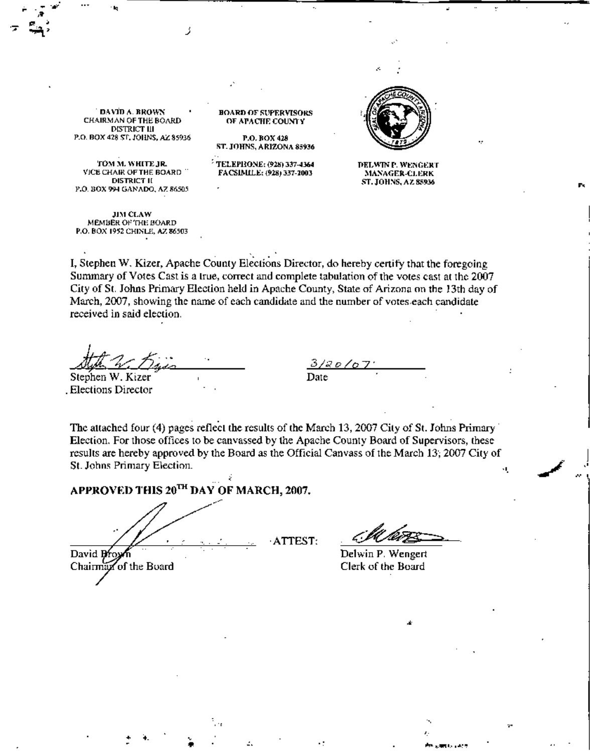DAVID A. RROWN CHAIRMAN OF THE BOARD DISTRICT III P.O. BOX 428 ST. JOHNS, AZ 85936

<del>,</del> మృ. (మ. 1986)

•" •

> 'TOM M. WHITE JR. VICE CHAIR OF THE BOARD **DISTRICT II** P.O. BOX 994 GANADO, AZ 86505

> JIM CLAW MEMBER OF THE BOARD P.O. BOX 1952 CHINLE, AZ 86503

BOARD OF SUPERVISORS OF APACHE COUNTY

P.O. BOX 428 ST. JOHNS, ARIZONA 85936

 $^5$  TELEPRONE: (928) 337-4364 FACSIMILE: (928) 337-2003



DELWINP, WENGERT ~lA~'AGEIl-CJ.EHK ST. JOHNS, AZ 85936

I, Stephen W. Kizer, Apache County Elections Director, do hereby certify that the foregoing Summary of Votes Cast is a true, correct and complete tabulation of the votes cast at the 2007 City of St. Johns Primary Election held in Apache County, State of Arizona on the 13th day of March, 2007, showing the name of each candidate and the number of votes, each candidate received in said election,

 $#x; E$ ijis

Stephen W. Kizer . Elections Director

*3/0;;0/07"* Date

The attached four (4) pages reflect the results of the March 13, 2007 City of St. Johns Primary Election. For those offices to be canvassed by the Apache County Board of Supervisors, these results are hereby approved by the Board as the Official Canvass of the March 13'; 2007 City of St. Johns Primary Election.

,ArrEST,

**APPROVED THIS** 20TI<**DAY OF** MARCH, 2007.

• • •

•

David  $Bf_{0\lambda}$ Chairman of the Board

•

ে<br>শীত <sub>ক</sub>ৰ্মাণ্ড ( এই শ

I "

Delwin P. Wengert Clerk of the Board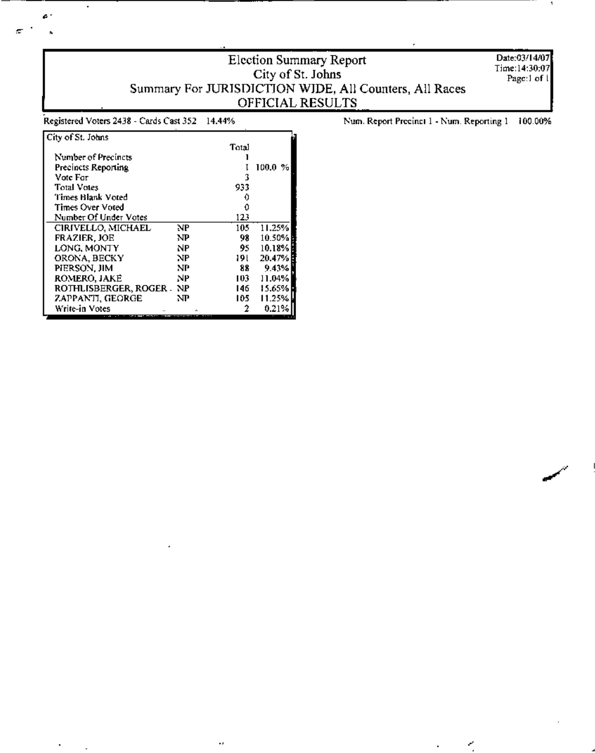## Election Summary Report Summary For JURISDICTION WIDE, All Counters, All Races OFFICIAL RESULTS

Date:03/14/07 Time:14:30:07 Page:1 of l

Registered Voters 2438 - Cards Cast 352 14.44%

 $\ddot{\phantom{0}}$ 

 $\pmb{c}$  :

 $\ddot{\phantom{0}}$ 

 $\blacksquare$ 

L.

÷.

Num. Report Precinct 1 - Num. Reporting 1 100.00%

K,

| City of St. Johns          |     |       |               |
|----------------------------|-----|-------|---------------|
|                            |     | Total |               |
| Number of Precincts        |     |       |               |
| <b>Precincts Reporting</b> |     |       | 100.0 .<br>Yo |
| Vote For                   |     | 3     |               |
| <b>Total Votes</b>         |     | 933   |               |
| Times Blank Voted          |     |       |               |
| Times Over Voted           |     |       |               |
| Number Of Under Votes      |     | 123   |               |
| CIRIVELLO, MICHAEL         | NP. | 105   | 11.25%        |
| FRAZIER, JOE               | NP  | 98    | 10.50%        |
| LONG, MONTY                | NP  | 95    | 10.18%        |
| ORONA, BECKY               | NP  | 191   | 20.47%        |
| PIERSON, JIM               | NP  | 88    | 9.43%         |
| ROMERO, JAKE               | NP  | 103   | 11.04%        |
| ROTHLISBERGER, ROGER .     | NP  | 146   | 15.65%        |
| ZAPPANTI, GEORGE           | NP  | 105   | 11.25%        |
| Write-in Votes             |     | 2     | 0.21%         |
|                            |     |       |               |

 $\ddot{\phantom{0}}$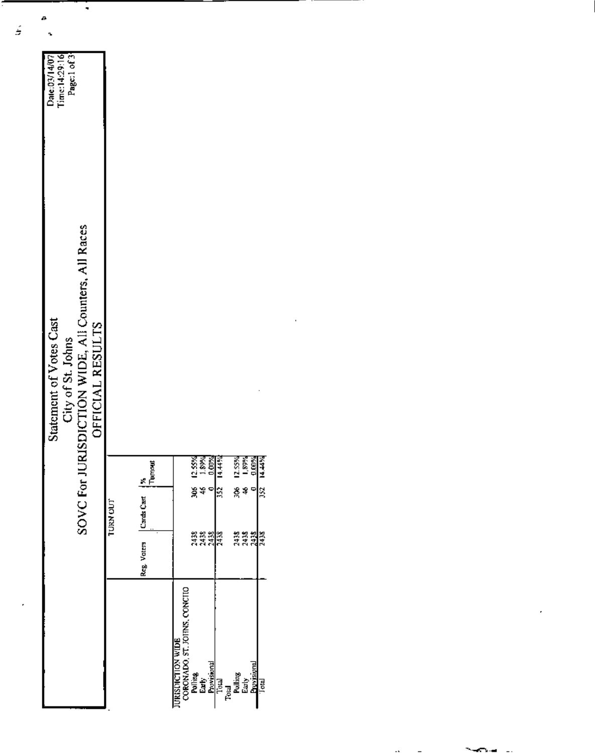| Page:1 of 3<br>$T$ ime:14:29:16<br>Date:03/14/07                                                                        |                                                  |                                                            |                                                                                  |
|-------------------------------------------------------------------------------------------------------------------------|--------------------------------------------------|------------------------------------------------------------|----------------------------------------------------------------------------------|
| City of St. Johns<br>SOVC For JURISDICTION WIDE, All Counters, All Races<br>Statement of Votes Cast<br>OFFICIAL RESULTS |                                                  |                                                            |                                                                                  |
|                                                                                                                         |                                                  | 12.55%<br>1.89%<br>0.00%                                   | 14.44%<br>12.55%<br>  89%<br>  0.00%<br>14.44%                                   |
|                                                                                                                         | TURN OUT                                         | हैं <del>है</del>                                          | š<br>X<br>\$<br>352                                                              |
|                                                                                                                         | $Resg VaterB$ $CardCart$ $Nh$ $Nh$ $Nh$ (Turnett | ឌុឌឡុឌ<br>ភីភីភី <mark>ភ</mark> ី                          | ត្តគ្គនា<br>ភិភិភ្ញាត                                                            |
|                                                                                                                         |                                                  | CORONADO, ST. JOHNS, CONCHO<br>CORONADO, ST. JOHNS, CONCHO | Poling<br>Early<br>Provisional<br>Poling Early<br>Poling Poling<br>Poling Poling |

an an

 $\mathbf{r}$ 

 $\overline{a}$ 

Τ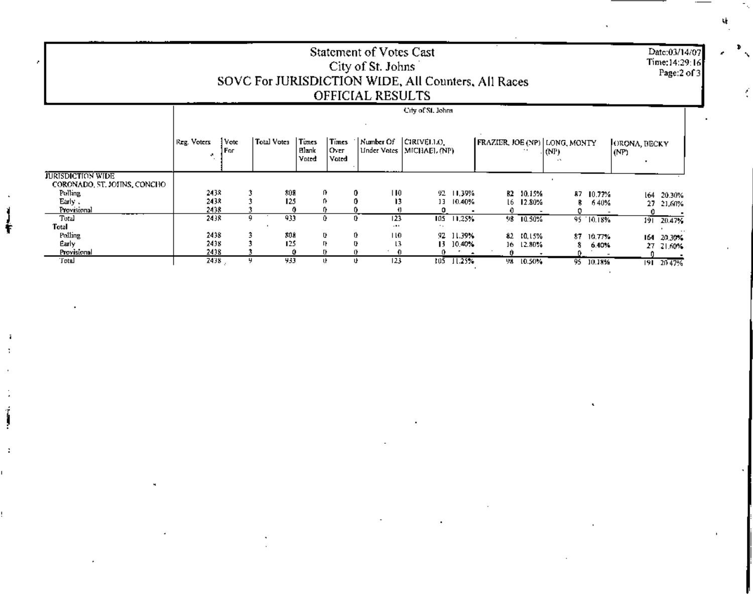Date:03/14/07<br>Time:14:29:16<br>Page:2 of 3

## Statement of Votes Cast<br>City of St. Johns<br>SOVC For JURISDICTION WIDE, All Counters, All Races<br>OFFICIAL RESULTS

|                                                         |                   |               |             |                                |                          |           | City of St. Johns                                                                 |                |           |                                                         |           |                      |                  |
|---------------------------------------------------------|-------------------|---------------|-------------|--------------------------------|--------------------------|-----------|-----------------------------------------------------------------------------------|----------------|-----------|---------------------------------------------------------|-----------|----------------------|------------------|
|                                                         | Reg. Voters<br>м. | Vote<br>] For | Total Votes | Times<br><b>Blank</b><br>Vnted | Times<br> Over <br>Voted |           | $\lceil$ Number Of $\lceil$ CIRIVELLO <sub>1</sub> .<br>Under Votes [MICHAEL (NP) |                |           | FRAZIER, JOE (NP) LONG, MONTY<br>$ $ (NP) $ $<br>$\sim$ |           | ORONA, BECKY<br>(NP) |                  |
| <b>JURISDICTION WIDE</b><br>CORONADO, ST. JOHNS, CONCHO |                   |               |             |                                |                          |           |                                                                                   |                |           |                                                         |           |                      |                  |
| Pulling                                                 | 2438              |               | 801         |                                | 0.                       | H0.       |                                                                                   | 92 11,39%      | B2 10.15% |                                                         | 87 10.77% |                      | 20.30%<br>164    |
| Early .                                                 | 2438              |               | 125         |                                |                          | 13        |                                                                                   | 13 10.40%      | 16 12.80% | 8.                                                      | 6.40%     |                      | 27.<br>21.60%    |
| Provisional                                             | 2438              |               |             |                                |                          |           |                                                                                   |                |           |                                                         |           |                      |                  |
| Total                                                   | 2438              | 9             | 933         |                                |                          | 123       |                                                                                   | $105 - 11,25%$ | 98 10.50% |                                                         | 95 10.18% |                      | $191 - 20.47$    |
| Total                                                   |                   |               |             |                                |                          | $\cdots$  |                                                                                   |                |           |                                                         |           |                      |                  |
| Polling                                                 | 2438              |               | 808         |                                | U.                       | 0.<br>ПO  |                                                                                   | 92 11.39%      | 82 10.15% | 87.                                                     | 10.77%    |                      | 164.<br>20.301   |
| Early                                                   | 2438              |               | 125         |                                | TH.                      | U.<br>13  |                                                                                   | 13 10.40%      | 16 12.80% | 8.                                                      | 6.40%     |                      | 27 21,609        |
| Provisional                                             | 2438              |               |             |                                |                          |           |                                                                                   |                |           |                                                         |           |                      |                  |
| Total                                                   | 2438              | y             | 933         |                                | u.                       | 123<br>u. | tu5                                                                               | 11.25%         | 98 10.50% | $95 -$                                                  | 10.18%    |                      | $191 - 20 - 479$ |

۹ł.